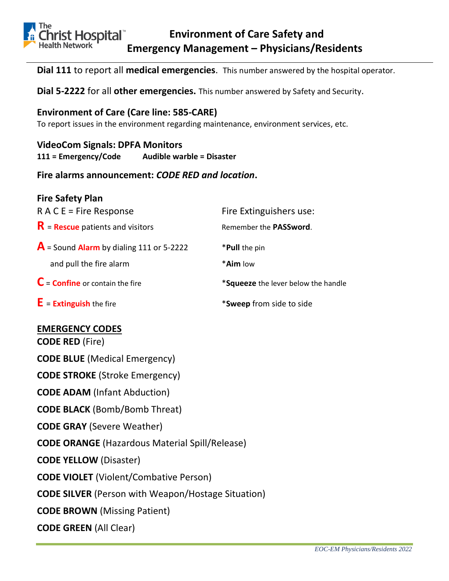

**Dial 111** to report all **medical emergencies**. This number answered by the hospital operator.

**Dial 5-2222** for all **other emergencies.** This number answered by Safety and Security.

## **Environment of Care (Care line: 585-CARE)**

To report issues in the environment regarding maintenance, environment services, etc.

# **VideoCom Signals: DPFA Monitors**

**111 = Emergency/Code Audible warble = Disaster**

**Fire alarms announcement:** *CODE RED and location***.**

| <b>Fire Safety Plan</b>                             |                                     |
|-----------------------------------------------------|-------------------------------------|
| $R A C E$ = Fire Response                           | Fire Extinguishers use:             |
| $R$ = Rescue patients and visitors                  | Remember the PASSword.              |
| $\mathsf{A}$ = Sound Alarm by dialing 111 or 5-2222 | *Pull the pin                       |
| and pull the fire alarm                             | * <b>Aim</b> low                    |
| $C =$ Confine or contain the fire                   | *Squeeze the lever below the handle |
| $E =$ <b>Extinguish</b> the fire                    | *Sweep from side to side            |

# **EMERGENCY CODES**

**CODE RED** (Fire)

**CODE BLUE** (Medical Emergency)

**CODE STROKE** (Stroke Emergency)

**CODE ADAM** (Infant Abduction)

**CODE BLACK** (Bomb/Bomb Threat)

**CODE GRAY** (Severe Weather)

**CODE ORANGE** (Hazardous Material Spill/Release)

**CODE YELLOW** (Disaster)

**CODE VIOLET** (Violent/Combative Person)

**CODE SILVER** (Person with Weapon/Hostage Situation)

**CODE BROWN** (Missing Patient)

**CODE GREEN** (All Clear)